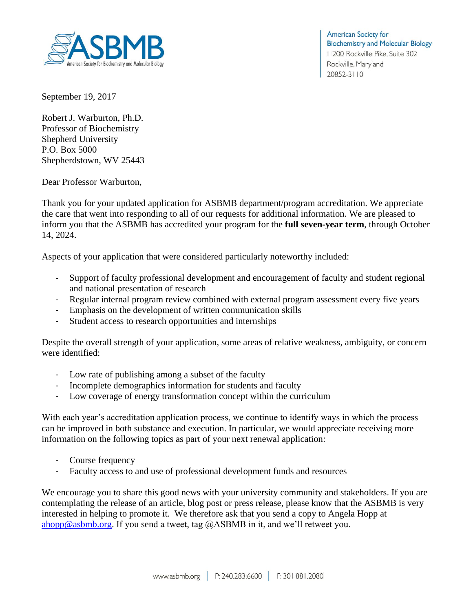

**American Society for Biochemistry and Molecular Biology** 11200 Rockville Pike, Suite 302 Rockville, Maryland 20852-3110

September 19, 2017

Robert J. Warburton, Ph.D. Professor of Biochemistry Shepherd University P.O. Box 5000 Shepherdstown, WV 25443

Dear Professor Warburton,

Thank you for your updated application for ASBMB department/program accreditation. We appreciate the care that went into responding to all of our requests for additional information. We are pleased to inform you that the ASBMB has accredited your program for the **full seven-year term**, through October 14, 2024.

Aspects of your application that were considered particularly noteworthy included:

- Support of faculty professional development and encouragement of faculty and student regional and national presentation of research
- Regular internal program review combined with external program assessment every five years
- Emphasis on the development of written communication skills
- Student access to research opportunities and internships

Despite the overall strength of your application, some areas of relative weakness, ambiguity, or concern were identified:

- Low rate of publishing among a subset of the faculty
- Incomplete demographics information for students and faculty
- Low coverage of energy transformation concept within the curriculum

With each year's accreditation application process, we continue to identify ways in which the process can be improved in both substance and execution. In particular, we would appreciate receiving more information on the following topics as part of your next renewal application:

- Course frequency
- Faculty access to and use of professional development funds and resources

We encourage you to share this good news with your university community and stakeholders. If you are contemplating the release of an article, blog post or press release, please know that the ASBMB is very interested in helping to promote it. We therefore ask that you send a copy to Angela Hopp at [ahopp@asbmb.org.](mailto:ahopp@asbmb.org) If you send a tweet, tag  $@$ ASBMB in it, and we'll retweet you.